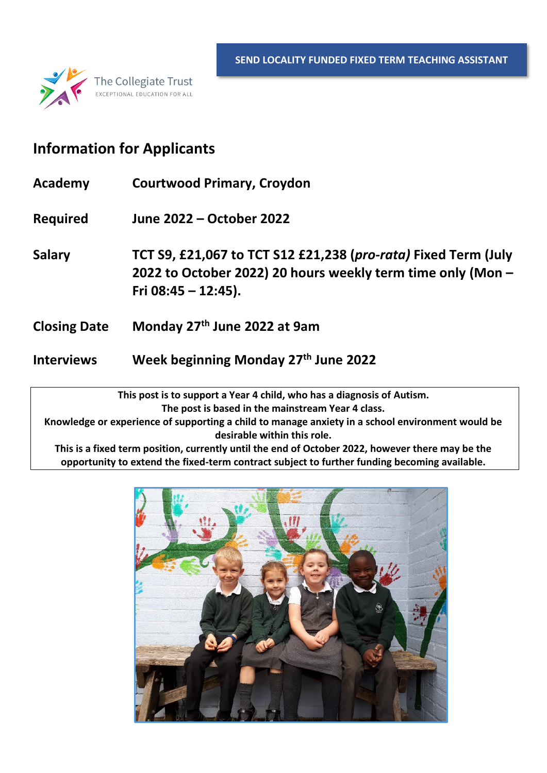

### **Information for Applicants**

- **Academy Courtwood Primary, Croydon**
- **Required June 2022 – October 2022**

**Salary TCT S9, £21,067 to TCT S12 £21,238 (***pro-rata)* **Fixed Term (July 2022 to October 2022) 20 hours weekly term time only (Mon – Fri 08:45 – 12:45).** 

- **Closing Date Monday 27 th June 2022 at 9am**
- **Interviews Week beginning Monday 27 th June 2022**

**This post is to support a Year 4 child, who has a diagnosis of Autism. The post is based in the mainstream Year 4 class. Knowledge or experience of supporting a child to manage anxiety in a school environment would be desirable within this role.**

**This is a fixed term position, currently until the end of October 2022, however there may be the opportunity to extend the fixed-term contract subject to further funding becoming available.** 

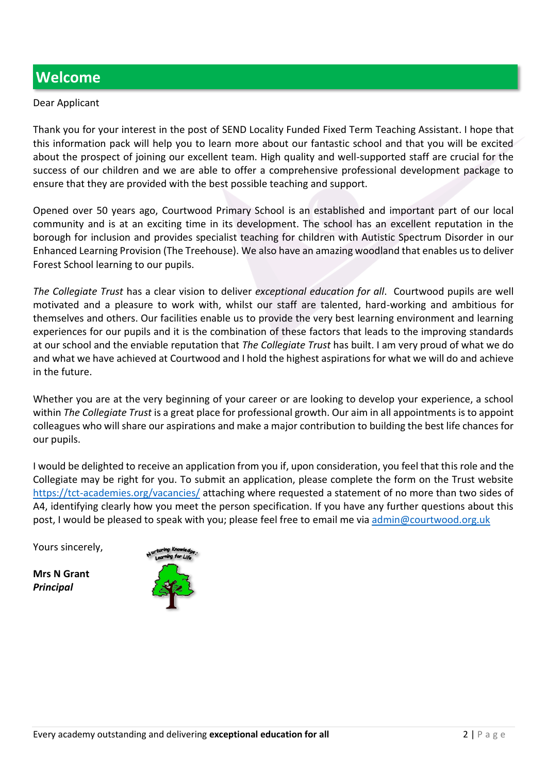### **Welcome**

#### Dear Applicant

Thank you for your interest in the post of SEND Locality Funded Fixed Term Teaching Assistant. I hope that this information pack will help you to learn more about our fantastic school and that you will be excited about the prospect of joining our excellent team. High quality and well-supported staff are crucial for the success of our children and we are able to offer a comprehensive professional development package to ensure that they are provided with the best possible teaching and support.

Opened over 50 years ago, Courtwood Primary School is an established and important part of our local community and is at an exciting time in its development. The school has an excellent reputation in the borough for inclusion and provides specialist teaching for children with Autistic Spectrum Disorder in our Enhanced Learning Provision (The Treehouse). We also have an amazing woodland that enables us to deliver Forest School learning to our pupils.

*The Collegiate Trust* has a clear vision to deliver *exceptional education for all*. Courtwood pupils are well motivated and a pleasure to work with, whilst our staff are talented, hard-working and ambitious for themselves and others. Our facilities enable us to provide the very best learning environment and learning experiences for our pupils and it is the combination of these factors that leads to the improving standards at our school and the enviable reputation that *The Collegiate Trust* has built. I am very proud of what we do and what we have achieved at Courtwood and I hold the highest aspirations for what we will do and achieve in the future.

Whether you are at the very beginning of your career or are looking to develop your experience, a school within *The Collegiate Trust* is a great place for professional growth. Our aim in all appointments is to appoint colleagues who will share our aspirations and make a major contribution to building the best life chances for our pupils.

I would be delighted to receive an application from you if, upon consideration, you feel that this role and the Collegiate may be right for you. To submit an application, please complete the form on the Trust website <https://tct-academies.org/vacancies/> attaching where requested a statement of no more than two sides of A4, identifying clearly how you meet the person specification. If you have any further questions about this post, I would be pleased to speak with you; please feel free to email me vi[a admin@courtwood.org.uk](mailto:admin@courtwood.org.uk)

Yours sincerely,

**Mrs N Grant** *Principal*

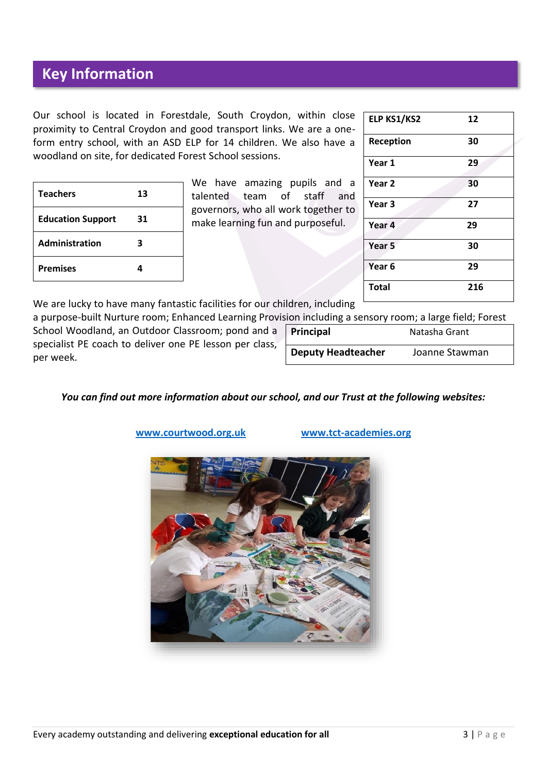### **Key Information**

Our school is located in Forestdale, South Croydon, within close proximity to Central Croydon and good transport links. We are a oneform entry school, with an ASD ELP for 14 children. We also have a woodland on site, for dedicated Forest School sessions.

| <b>Teachers</b>          | 13 |
|--------------------------|----|
| <b>Education Support</b> | 31 |
| <b>Administration</b>    | 3  |
| <b>Premises</b>          |    |

We have amazing pupils and a talented team of staff and governors, who all work together to make learning fun and purposeful.

| 12  |
|-----|
| 30  |
| 29  |
| 30  |
| 27  |
| 29  |
| 30  |
| 29  |
| 216 |
|     |

We are lucky to have many fantastic facilities for our children, including

a purpose-built Nurture room; Enhanced Learning Provision including a sensory room; a large field; Forest School Woodland, an Outdoor Classroom; pond and a specialist PE coach to deliver one PE lesson per class, per week.

| <b>Deputy Headteacher</b>                          | Joanne Stawman |  |
|----------------------------------------------------|----------------|--|
| Principal                                          | Natasha Grant  |  |
| ion including a sensory room, a large held, Forest |                |  |

#### *You can find out more information about our school, and our Trust at the following websites:*



**[www.courtwood.org.uk](https://courtwood.org.uk/) [www.tct-academies.org](http://www.tct-academies.org/)**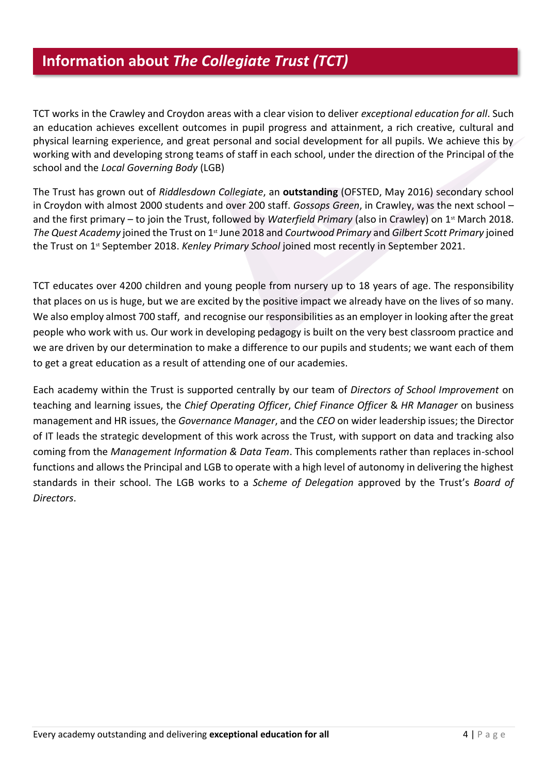#### **Information about** *The Collegiate Trust (TCT)*

TCT works in the Crawley and Croydon areas with a clear vision to deliver *exceptional education for all*. Such an education achieves excellent outcomes in pupil progress and attainment, a rich creative, cultural and physical learning experience, and great personal and social development for all pupils. We achieve this by working with and developing strong teams of staff in each school, under the direction of the Principal of the school and the *Local Governing Body* (LGB)

The Trust has grown out of *Riddlesdown Collegiate*, an **outstanding** (OFSTED, May 2016) secondary school in Croydon with almost 2000 students and over 200 staff. *Gossops Green*, in Crawley, was the next school – and the first primary – to join the Trust, followed by *Waterfield Primary* (also in Crawley) on 1st March 2018. The Quest Academy joined the Trust on 1<sup>st</sup> June 2018 and *Courtwood Primary* and *Gilbert Scott Primary* joined the Trust on 1st September 2018. *Kenley Primary School* joined most recently in September 2021.

TCT educates over 4200 children and young people from nursery up to 18 years of age. The responsibility that places on us is huge, but we are excited by the positive impact we already have on the lives of so many. We also employ almost 700 staff, and recognise our responsibilities as an employer in looking after the great people who work with us. Our work in developing pedagogy is built on the very best classroom practice and we are driven by our determination to make a difference to our pupils and students; we want each of them to get a great education as a result of attending one of our academies.

Each academy within the Trust is supported centrally by our team of *Directors of School Improvement* on teaching and learning issues, the *Chief Operating Officer*, *Chief Finance Officer* & *HR Manager* on business management and HR issues, the *Governance Manager*, and the *CEO* on wider leadership issues; the Director of IT leads the strategic development of this work across the Trust, with support on data and tracking also coming from the *Management Information & Data Team*. This complements rather than replaces in-school functions and allows the Principal and LGB to operate with a high level of autonomy in delivering the highest standards in their school. The LGB works to a *Scheme of Delegation* approved by the Trust's *Board of Directors*.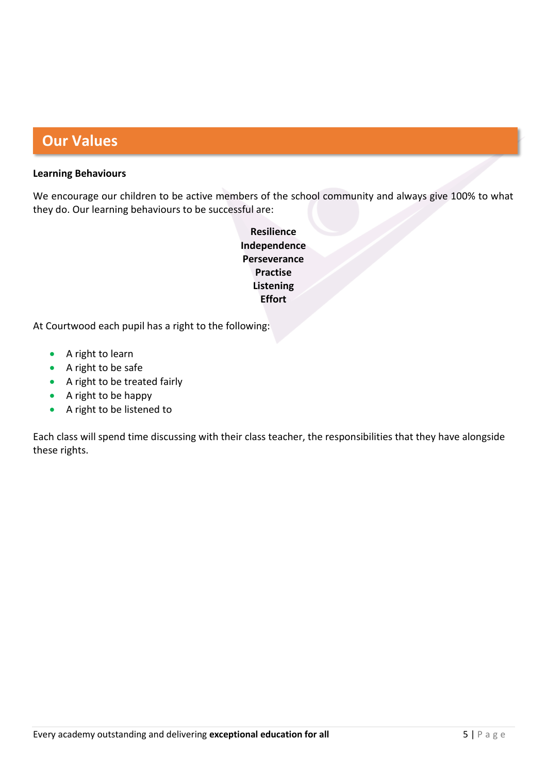## **Our Values**

#### **Learning Behaviours**

We encourage our children to be active members of the school community and always give 100% to what they do. Our learning behaviours to be successful are:

> **Resilience Independence Perseverance Practise Listening Effort**

At Courtwood each pupil has a right to the following:

- A right to learn
- A right to be safe
- A right to be treated fairly
- A right to be happy
- A right to be listened to

Each class will spend time discussing with their class teacher, the responsibilities that they have alongside these rights.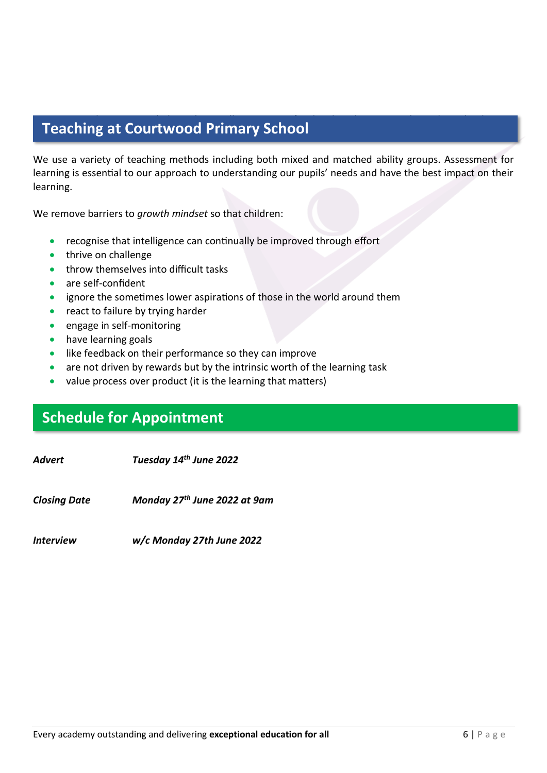# **Teaching at Courtwood Primary School. Teaching at Courtwood Primary School. The and work as a** *growth* **mindset school. The and work as a** *growth* **mindset school.**

We use a variety of teaching methods including both mixed and matched ability groups. Assessment for learning is essential to our approach to understanding our pupils' needs and have the best impact on their learning.

We remove barriers to *growth mindset* so that children:

- recognise that intelligence can continually be improved through effort
- thrive on challenge
- throw themselves into difficult tasks
- are self-confident
- ignore the sometimes lower aspirations of those in the world around them
- react to failure by trying harder
- engage in self-monitoring
- have learning goals
- like feedback on their performance so they can improve
- are not driven by rewards but by the intrinsic worth of the learning task
- value process over product (it is the learning that matters)

### **Schedule for Appointment**

*Advert Tuesday 14th June 2022*

*Closing Date th June 2022 at 9am*

*Interview w/c Monday 27th June 2022*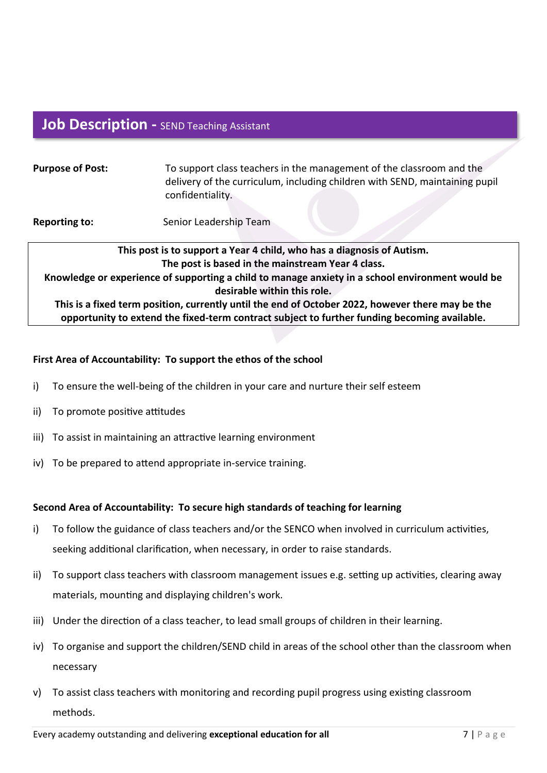# **Job Description - SEND Teaching Assistant**

| <b>Purpose of Post:</b>                                                                          | To support class teachers in the management of the classroom and the<br>delivery of the curriculum, including children with SEND, maintaining pupil<br>confidentiality. |
|--------------------------------------------------------------------------------------------------|-------------------------------------------------------------------------------------------------------------------------------------------------------------------------|
| <b>Reporting to:</b>                                                                             | Senior Leadership Team                                                                                                                                                  |
| This post is to support a Year 4 child, who has a diagnosis of Autism.                           |                                                                                                                                                                         |
| The post is based in the mainstream Year 4 class.                                                |                                                                                                                                                                         |
| Knowledge or experience of supporting a child to manage anxiety in a school environment would be |                                                                                                                                                                         |
| desirable within this role.                                                                      |                                                                                                                                                                         |
| This is a fixed term position, currently until the end of October 2022, however there may be the |                                                                                                                                                                         |

**opportunity to extend the fixed-term contract subject to further funding becoming available.** 

#### **First Area of Accountability: To support the ethos of the school**

- i) To ensure the well-being of the children in your care and nurture their self esteem
- ii) To promote positive attitudes
- iii) To assist in maintaining an attractive learning environment
- iv) To be prepared to attend appropriate in-service training.

#### **Second Area of Accountability: To secure high standards of teaching for learning**

- i) To follow the guidance of class teachers and/or the SENCO when involved in curriculum activities, seeking additional clarification, when necessary, in order to raise standards.
- ii) To support class teachers with classroom management issues e.g. setting up activities, clearing away materials, mounting and displaying children's work.
- iii) Under the direction of a class teacher, to lead small groups of children in their learning.
- iv) To organise and support the children/SEND child in areas of the school other than the classroom when necessary
- v) To assist class teachers with monitoring and recording pupil progress using existing classroom methods.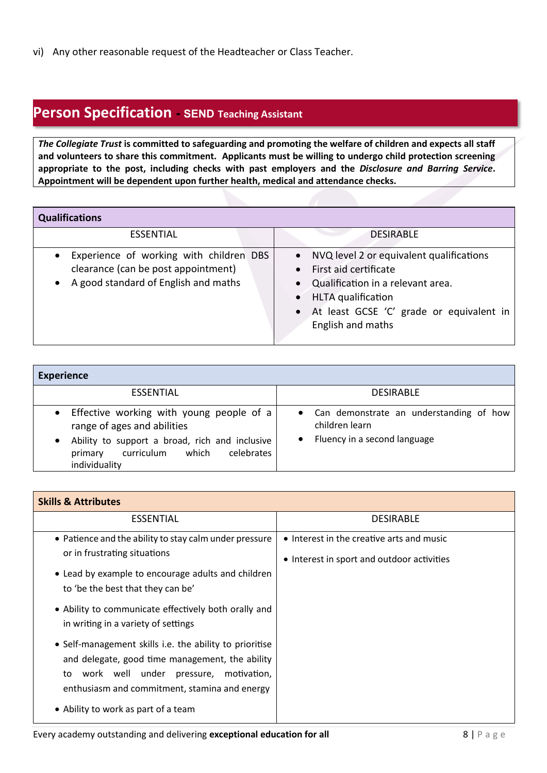vi) Any other reasonable request of the Headteacher or Class Teacher.

### **Person Specification - SEND Teaching Assistant**

*The Collegiate Trust* **is committed to safeguarding and promoting the welfare of children and expects all staff and volunteers to share this commitment. Applicants must be willing to undergo child protection screening appropriate to the post, including checks with past employers and the** *Disclosure and Barring Service***. Appointment will be dependent upon further health, medical and attendance checks.**

| <b>Qualifications</b> |  |
|-----------------------|--|
|                       |  |

| <b>ESSENTIAL</b>                                                                                                                      | <b>DESIRABLE</b>                                                                                                                                                                                        |
|---------------------------------------------------------------------------------------------------------------------------------------|---------------------------------------------------------------------------------------------------------------------------------------------------------------------------------------------------------|
| Experience of working with children DBS<br>$\bullet$<br>clearance (can be post appointment)<br>• A good standard of English and maths | • NVQ level 2 or equivalent qualifications<br>• First aid certificate<br>• Qualification in a relevant area.<br>• HLTA qualification<br>• At least GCSE 'C' grade or equivalent in<br>English and maths |

| <b>Experience</b>                                                                                                                                                                            |                                                                                                          |  |
|----------------------------------------------------------------------------------------------------------------------------------------------------------------------------------------------|----------------------------------------------------------------------------------------------------------|--|
| <b>ESSENTIAL</b>                                                                                                                                                                             | <b>DESIRABLE</b>                                                                                         |  |
| • Effective working with young people of a<br>range of ages and abilities<br>Ability to support a broad, rich and inclusive<br>which<br>celebrates<br>curriculum<br>primary<br>individuality | • Can demonstrate an understanding of how<br>children learn<br>Fluency in a second language<br>$\bullet$ |  |

| <b>Skills &amp; Attributes</b>                          |                                            |  |
|---------------------------------------------------------|--------------------------------------------|--|
| <b>ESSENTIAL</b>                                        | <b>DESIRABLE</b>                           |  |
| • Patience and the ability to stay calm under pressure  | • Interest in the creative arts and music  |  |
| or in frustrating situations                            | • Interest in sport and outdoor activities |  |
| • Lead by example to encourage adults and children      |                                            |  |
| to 'be the best that they can be'                       |                                            |  |
| • Ability to communicate effectively both orally and    |                                            |  |
| in writing in a variety of settings                     |                                            |  |
| • Self-management skills i.e. the ability to prioritise |                                            |  |
| and delegate, good time management, the ability         |                                            |  |
| work well under<br>pressure,<br>motivation,<br>to       |                                            |  |
| enthusiasm and commitment, stamina and energy           |                                            |  |
| • Ability to work as part of a team                     |                                            |  |